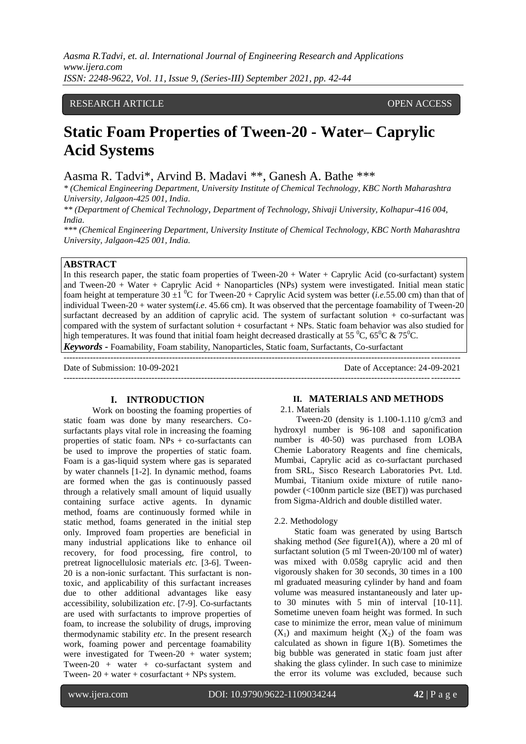*Aasma R.Tadvi, et. al. International Journal of Engineering Research and Applications www.ijera.com ISSN: 2248-9622, Vol. 11, Issue 9, (Series-III) September 2021, pp. 42-44*

# RESEARCH ARTICLE **Superintendent and the COVID-Second COVID-Second COVID-Second COVID-Second COVID-Second COVID-**

# **Static Foam Properties of Tween-20 - Water– Caprylic Acid Systems**

Aasma R. Tadvi\*, Arvind B. Madavi \*\*, Ganesh A. Bathe \*\*\*

*\* (Chemical Engineering Department, University Institute of Chemical Technology, KBC North Maharashtra University, Jalgaon-425 001, India.*

*\*\* (Department of Chemical Technology, Department of Technology, Shivaji University, Kolhapur-416 004, India.*

*\*\*\* (Chemical Engineering Department, University Institute of Chemical Technology, KBC North Maharashtra University, Jalgaon-425 001, India.*

### **ABSTRACT**

In this research paper, the static foam properties of Tween-20 + Water + Caprylic Acid (co-surfactant) system and Tween-20 + Water + Caprylic Acid + Nanoparticles (NPs) system were investigated. Initial mean static foam height at temperature 30  $\pm 1$  <sup>o</sup>C for Tween-20 + Caprylic Acid system was better (*i.e.*55.00 cm) than that of individual Tween-20 + water system(*i.e*. 45.66 cm). It was observed that the percentage foamability of Tween-20 surfactant decreased by an addition of caprylic acid. The system of surfactant solution + co-surfactant was compared with the system of surfactant solution + cosurfactant + NPs. Static foam behavior was also studied for high temperatures. It was found that initial foam height decreased drastically at 55  $\rm{^0C}$ , 65 $\rm{^0C}$  & 75 $\rm{^0C}$ .

*Keywords* **-** Foamability, Foam stability, Nanoparticles, Static foam, Surfactants, Co-surfactant

--------------------------------------------------------------------------------------------------------------------------------------- Date of Submission: 10-09-2021 Date of Acceptance: 24-09-2021 ---------------------------------------------------------------------------------------------------------------------------------------

# **I. INTRODUCTION**

Work on boosting the foaming properties of static foam was done by many researchers. Cosurfactants plays vital role in increasing the foaming properties of static foam. NPs + co-surfactants can be used to improve the properties of static foam. Foam is a gas-liquid system where gas is separated by water channels [1-2]. In dynamic method, foams are formed when the gas is continuously passed through a relatively small amount of liquid usually containing surface active agents. In dynamic method, foams are continuously formed while in static method, foams generated in the initial step only. Improved foam properties are beneficial in many industrial applications like to enhance oil recovery, for food processing, fire control, to pretreat lignocellulosic materials *etc.* [3-6]. Tween-20 is a non-ionic surfactant. This surfactant is nontoxic, and applicability of this surfactant increases due to other additional advantages like easy accessibility, solubilization *etc*. [7-9]. Co-surfactants are used with surfactants to improve properties of foam, to increase the solubility of drugs, improving thermodynamic stability *etc*. In the present research work, foaming power and percentage foamability were investigated for Tween-20 + water system; Tween-20 + water + co-surfactant system and Tween-  $20 + water +cosurfactant + NPs$  system.

#### **II. MATERIALS AND METHODS**

2.1. Materials

 Tween-20 (density is 1.100-1.110 g/cm3 and hydroxyl number is 96-108 and saponification number is 40-50) was purchased from LOBA Chemie Laboratory Reagents and fine chemicals, Mumbai, Caprylic acid as co-surfactant purchased from SRL, Sisco Research Laboratories Pvt. Ltd. Mumbai, Titanium oxide mixture of rutile nanopowder (<100nm particle size (BET)) was purchased from Sigma-Aldrich and double distilled water.

#### 2.2. Methodology

 Static foam was generated by using Bartsch shaking method (*See* figure1(A)), where a 20 ml of surfactant solution (5 ml Tween-20/100 ml of water) was mixed with 0.058g caprylic acid and then vigorously shaken for 30 seconds, 30 times in a 100 ml graduated measuring cylinder by hand and foam volume was measured instantaneously and later upto 30 minutes with 5 min of interval [10-11]. Sometime uneven foam height was formed. In such case to minimize the error, mean value of minimum  $(X_1)$  and maximum height  $(X_2)$  of the foam was calculated as shown in figure 1(B). Sometimes the big bubble was generated in static foam just after shaking the glass cylinder. In such case to minimize the error its volume was excluded, because such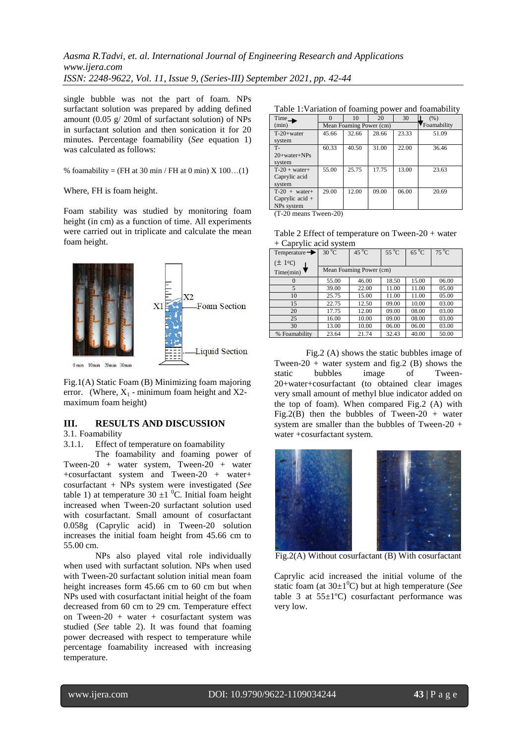single bubble was not the part of foam. NPs surfactant solution was prepared by adding defined amount (0.05 g/ 20ml of surfactant solution) of NPs in surfactant solution and then sonication it for 20 minutes. Percentage foamability (*See* equation 1) was calculated as follows:

% foamability = (FH at 30 min / FH at 0 min)  $X$  100...(1)

#### Where, FH is foam height.

Foam stability was studied by monitoring foam height (in cm) as a function of time. All experiments were carried out in triplicate and calculate the mean foam height.



Fig.1(A) Static Foam (B) Minimizing foam majoring error. (Where,  $X_1$  - minimum foam height and X2maximum foam height)

# **III. RESULTS AND DISCUSSION**

## 3.1. Foamability

3.1.1. Effect of temperature on foamability

The foamability and foaming power of Tween-20 + water system, Tween-20 + water +cosurfactant system and Tween-20 + water+ cosurfactant + NPs system were investigated (*See* table 1) at temperature  $30 \pm 1$  <sup>0</sup>C. Initial foam height increased when Tween-20 surfactant solution used with cosurfactant. Small amount of cosurfactant 0.058g (Caprylic acid) in Tween-20 solution increases the initial foam height from 45.66 cm to 55.00 cm.

NPs also played vital role individually when used with surfactant solution. NPs when used with Tween-20 surfactant solution initial mean foam height increases form 45.66 cm to 60 cm but when NPs used with cosurfactant initial height of the foam decreased from 60 cm to 29 cm. Temperature effect on Tween-20 + water + cosurfactant system was studied (*See* table 2). It was found that foaming power decreased with respect to temperature while percentage foamability increased with increasing temperature.

| Time              |                         | 10    | 20    | 30    | (% )        |
|-------------------|-------------------------|-------|-------|-------|-------------|
| (min)             | Mean Foaming Power (cm) |       |       |       | Foamability |
| $T-20+water$      | 45.66                   | 32.66 | 28.66 | 23.33 | 51.09       |
| system            |                         |       |       |       |             |
| <b>T-</b>         | 60.33                   | 40.50 | 31.00 | 22.00 | 36.46       |
| $20+water+NPs$    |                         |       |       |       |             |
| system            |                         |       |       |       |             |
| $T-20 + water+$   | 55.00                   | 25.75 | 17.75 | 13.00 | 23.63       |
| Caprylic acid     |                         |       |       |       |             |
| system            |                         |       |       |       |             |
| $T-20 + water+$   | 29.00                   | 12.00 | 09.00 | 06.00 | 20.69       |
| Caprylic acid $+$ |                         |       |       |       |             |
| NPs system        |                         |       |       |       |             |

(T-20 means Tween-20)

| Table 2 Effect of temperature on Tween-20 + water |  |
|---------------------------------------------------|--|
| + Caprylic acid system                            |  |

| <u>_</u>                  |            |                         |            |           |           |
|---------------------------|------------|-------------------------|------------|-----------|-----------|
| Temperature $\rightarrow$ | $30\,^0$ C | $45\,^0$ C              | $55\,^0$ C | $65\,^0C$ | $75\,^0C$ |
| $(\pm 10)$                |            |                         |            |           |           |
| Time(min)                 |            | Mean Foaming Power (cm) |            |           |           |
| $\theta$                  | 55.00      | 46.00                   | 18.50      | 15.00     | 06.00     |
| 5                         | 39.00      | 22.00                   | 11.00      | 11.00     | 05.00     |
| 10                        | 25.75      | 15.00                   | 11.00      | 11.00     | 05.00     |
| 15                        | 22.75      | 12.50                   | 09.00      | 10.00     | 03.00     |
| 20                        | 17.75      | 12.00                   | 09.00      | 08.00     | 03.00     |
| 25                        | 16.00      | 10.00                   | 09.00      | 08.00     | 03.00     |
| 30                        | 13.00      | 10.00                   | 06.00      | 06.00     | 03.00     |
| % Foamability             | 23.64      | 21.74                   | 32.43      | 40.00     | 50.00     |

Fig.2 (A) shows the static bubbles image of Tween-20 + water system and fig.2 (B) shows the static bubbles image of Tween-20+water+cosurfactant (to obtained clear images very small amount of methyl blue indicator added on the top of foam). When compared Fig.2 (A) with Fig.2(B) then the bubbles of Tween-20 + water system are smaller than the bubbles of Tween-20 + water +cosurfactant system.



Caprylic acid increased the initial volume of the static foam (at  $30\pm1$ <sup>o</sup>C) but at high temperature (*See* table 3 at  $55\pm1\textdegree C$ ) cosurfactant performance was very low.